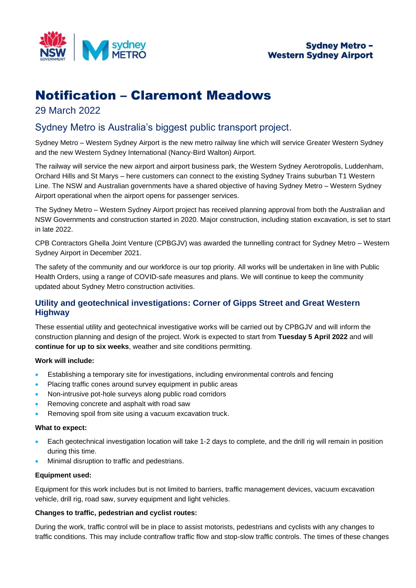

# Notification – Claremont Meadows

## 29 March 2022

# Sydney Metro is Australia's biggest public transport project.

Sydney Metro – Western Sydney Airport is the new metro railway line which will service Greater Western Sydney and the new Western Sydney International (Nancy-Bird Walton) Airport.

The railway will service the new airport and airport business park, the Western Sydney Aerotropolis, Luddenham, Orchard Hills and St Marys – here customers can connect to the existing Sydney Trains suburban T1 Western Line. The NSW and Australian governments have a shared objective of having Sydney Metro – Western Sydney Airport operational when the airport opens for passenger services.

The Sydney Metro – Western Sydney Airport project has received planning approval from both the Australian and NSW Governments and construction started in 2020. Major construction, including station excavation, is set to start in late 2022.

CPB Contractors Ghella Joint Venture (CPBGJV) was awarded the tunnelling contract for Sydney Metro – Western Sydney Airport in December 2021.

The safety of the community and our workforce is our top priority. All works will be undertaken in line with Public Health Orders, using a range of COVID-safe measures and plans. We will continue to keep the community updated about Sydney Metro construction activities.

### **Utility and geotechnical investigations: Corner of Gipps Street and Great Western Highway**

These essential utility and geotechnical investigative works will be carried out by CPBGJV and will inform the construction planning and design of the project. Work is expected to start from **Tuesday 5 April 2022** and will **continue for up to six weeks**, weather and site conditions permitting.

#### **Work will include:**

- Establishing a temporary site for investigations, including environmental controls and fencing
- Placing traffic cones around survey equipment in public areas
- Non-intrusive pot-hole surveys along public road corridors
- Removing concrete and asphalt with road saw
- Removing spoil from site using a vacuum excavation truck.

#### **What to expect:**

- Each geotechnical investigation location will take 1-2 days to complete, and the drill rig will remain in position during this time.
- Minimal disruption to traffic and pedestrians.

#### **Equipment used:**

Equipment for this work includes but is not limited to barriers, traffic management devices, vacuum excavation vehicle, drill rig, road saw, survey equipment and light vehicles.

#### **Changes to traffic, pedestrian and cyclist routes:**

During the work, traffic control will be in place to assist motorists, pedestrians and cyclists with any changes to traffic conditions. This may include contraflow traffic flow and stop-slow traffic controls. The times of these changes